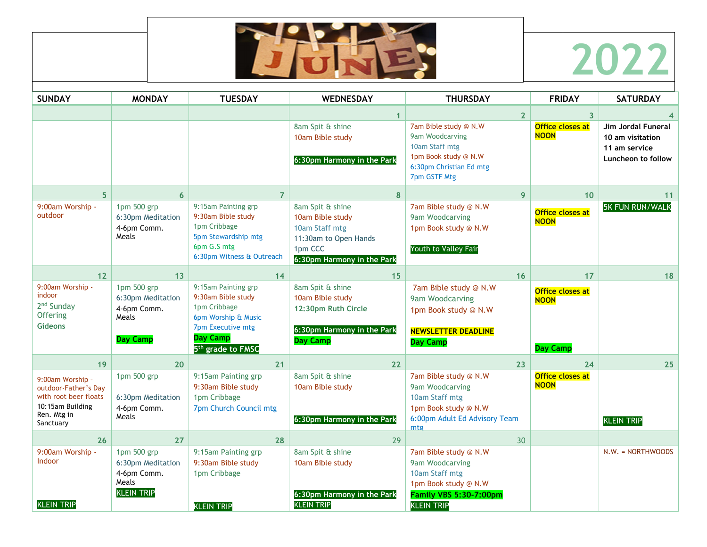



| <b>SUNDAY</b>                                                                                                     | <b>MONDAY</b>                                                                 | <b>TUESDAY</b>                                                                                                                                            | <b>WEDNESDAY</b>                                                                                                         | <b>THURSDAY</b>                                                                                                                          | <b>FRIDAY</b>                                      | <b>SATURDAY</b>                                                                      |
|-------------------------------------------------------------------------------------------------------------------|-------------------------------------------------------------------------------|-----------------------------------------------------------------------------------------------------------------------------------------------------------|--------------------------------------------------------------------------------------------------------------------------|------------------------------------------------------------------------------------------------------------------------------------------|----------------------------------------------------|--------------------------------------------------------------------------------------|
|                                                                                                                   |                                                                               |                                                                                                                                                           | $\mathbf{1}$                                                                                                             | $\overline{2}$                                                                                                                           | $\overline{\mathbf{3}}$                            |                                                                                      |
|                                                                                                                   |                                                                               |                                                                                                                                                           | 8am Spit & shine<br>10am Bible study<br>6:30pm Harmony in the Park                                                       | 7am Bible study @ N.W<br>9am Woodcarving<br>10am Staff mtg<br>1pm Book study @ N.W<br>6:30pm Christian Ed mtg<br>7pm GSTF Mtg            | <b>Office closes at</b><br><b>NOON</b>             | <b>Jim Jordal Funeral</b><br>10 am visitation<br>11 am service<br>Luncheon to follow |
| 5 <sup>1</sup>                                                                                                    | 6                                                                             | $\overline{7}$                                                                                                                                            | 8                                                                                                                        | 9                                                                                                                                        | 10                                                 | 11                                                                                   |
| 9:00am Worship -<br>outdoor                                                                                       | 1pm 500 grp<br>6:30pm Meditation<br>4-6pm Comm.<br>Meals                      | 9:15am Painting grp<br>9:30am Bible study<br>1pm Cribbage<br>5pm Stewardship mtg<br>6pm G.S mtg<br>6:30pm Witness & Outreach                              | 8am Spit & shine<br>10am Bible study<br>10am Staff mtg<br>11:30am to Open Hands<br>1pm CCC<br>6:30pm Harmony in the Park | 7am Bible study @ N.W<br>9am Woodcarving<br>1pm Book study @ N.W<br>Youth to Valley Fair                                                 | Office closes at<br><b>NOON</b>                    | <b>5K FUN RUN/WALK</b>                                                               |
| 12                                                                                                                | 13                                                                            | 14                                                                                                                                                        | 15                                                                                                                       | 16                                                                                                                                       | 17                                                 | 18                                                                                   |
| 9:00am Worship -<br>indoor<br>2 <sup>nd</sup> Sunday<br>Offering<br><b>Gideons</b>                                | 1pm 500 grp<br>6:30pm Meditation<br>4-6pm Comm.<br>Meals<br><b>Day Camp</b>   | 9:15am Painting grp<br>9:30am Bible study<br>1pm Cribbage<br>6pm Worship & Music<br>7pm Executive mtg<br><b>Day Camp</b><br>5 <sup>th</sup> grade to FMSC | 8am Spit & shine<br>10am Bible study<br>12:30pm Ruth Circle<br>6:30pm Harmony in the Park<br><b>Day Camp</b>             | 7am Bible study @ N.W<br>9am Woodcarving<br>1pm Book study @ N.W<br><b>NEWSLETTER DEADLINE</b><br><b>Day Camp</b>                        | Office closes at<br><b>NOON</b><br><b>Day Camp</b> |                                                                                      |
| 19 <sup>°</sup>                                                                                                   | 20                                                                            | 21                                                                                                                                                        | 22                                                                                                                       | 23                                                                                                                                       | 24                                                 | 25                                                                                   |
| 9:00am Worship -<br>outdoor-Father's Day<br>with root beer floats<br>10:15am Building<br>Ren. Mtg in<br>Sanctuary | 1pm 500 grp<br>6:30pm Meditation<br>4-6pm Comm.<br>Meals                      | 9:15am Painting grp<br>9:30am Bible study<br>1pm Cribbage<br>7pm Church Council mtg                                                                       | 8am Spit & shine<br>10am Bible study<br>6:30pm Harmony in the Park                                                       | 7am Bible study @ N.W<br>9am Woodcarving<br>10am Staff mtg<br>1pm Book study @ N.W<br>6:00pm Adult Ed Advisory Team<br>mtg               | <b>Office closes at</b><br><b>NOON</b>             | <b>KLEIN TRIP</b>                                                                    |
| 26                                                                                                                | 27                                                                            | 28                                                                                                                                                        | 29                                                                                                                       | 30                                                                                                                                       |                                                    |                                                                                      |
| 9:00am Worship -<br>Indoor<br><b>KLEIN TRIP</b>                                                                   | 1pm 500 grp<br>6:30pm Meditation<br>4-6pm Comm.<br>Meals<br><b>KLEIN TRIP</b> | 9:15am Painting grp<br>9:30am Bible study<br>1pm Cribbage<br><b>KLEIN TRIP</b>                                                                            | 8am Spit & shine<br>10am Bible study<br>6:30pm Harmony in the Park<br><b>KLEIN TRIP</b>                                  | 7am Bible study @ N.W<br>9am Woodcarving<br>10am Staff mtg<br>1pm Book study @ N.W<br><b>Family VBS 5:30-7:00pm</b><br><b>KLEIN TRIP</b> |                                                    | N.W. = NORTHWOODS                                                                    |